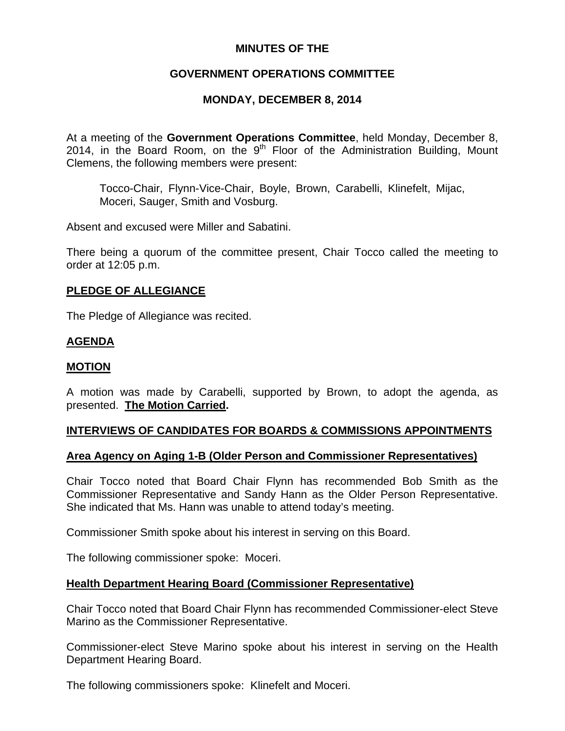# **MINUTES OF THE**

# **GOVERNMENT OPERATIONS COMMITTEE**

# **MONDAY, DECEMBER 8, 2014**

At a meeting of the **Government Operations Committee**, held Monday, December 8, 2014, in the Board Room, on the  $9<sup>th</sup>$  Floor of the Administration Building, Mount Clemens, the following members were present:

Tocco-Chair, Flynn-Vice-Chair, Boyle, Brown, Carabelli, Klinefelt, Mijac, Moceri, Sauger, Smith and Vosburg.

Absent and excused were Miller and Sabatini.

There being a quorum of the committee present, Chair Tocco called the meeting to order at 12:05 p.m.

#### **PLEDGE OF ALLEGIANCE**

The Pledge of Allegiance was recited.

## **AGENDA**

## **MOTION**

A motion was made by Carabelli, supported by Brown, to adopt the agenda, as presented. **The Motion Carried.** 

## **INTERVIEWS OF CANDIDATES FOR BOARDS & COMMISSIONS APPOINTMENTS**

## **Area Agency on Aging 1-B (Older Person and Commissioner Representatives)**

Chair Tocco noted that Board Chair Flynn has recommended Bob Smith as the Commissioner Representative and Sandy Hann as the Older Person Representative. She indicated that Ms. Hann was unable to attend today's meeting.

Commissioner Smith spoke about his interest in serving on this Board.

The following commissioner spoke: Moceri.

## **Health Department Hearing Board (Commissioner Representative)**

Chair Tocco noted that Board Chair Flynn has recommended Commissioner-elect Steve Marino as the Commissioner Representative.

Commissioner-elect Steve Marino spoke about his interest in serving on the Health Department Hearing Board.

The following commissioners spoke: Klinefelt and Moceri.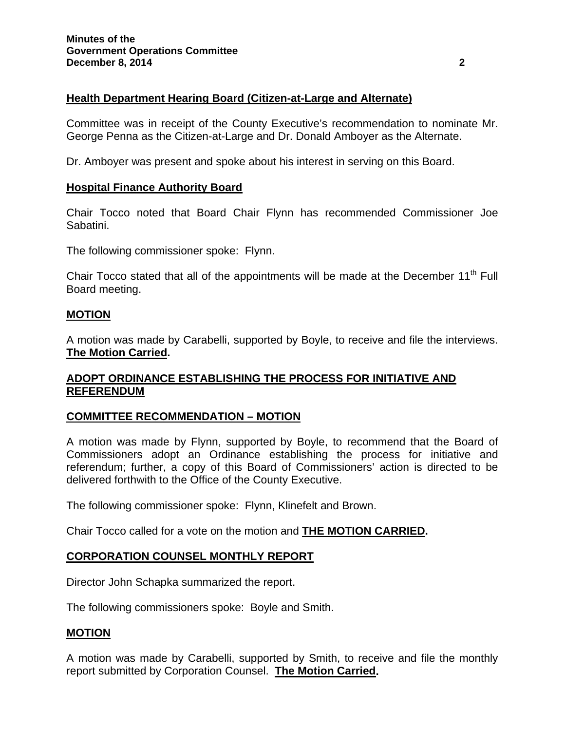## **Health Department Hearing Board (Citizen-at-Large and Alternate)**

Committee was in receipt of the County Executive's recommendation to nominate Mr. George Penna as the Citizen-at-Large and Dr. Donald Amboyer as the Alternate.

Dr. Amboyer was present and spoke about his interest in serving on this Board.

#### **Hospital Finance Authority Board**

Chair Tocco noted that Board Chair Flynn has recommended Commissioner Joe Sabatini.

The following commissioner spoke: Flynn.

Chair Tocco stated that all of the appointments will be made at the December 11<sup>th</sup> Full Board meeting.

#### **MOTION**

A motion was made by Carabelli, supported by Boyle, to receive and file the interviews. **The Motion Carried.** 

## **ADOPT ORDINANCE ESTABLISHING THE PROCESS FOR INITIATIVE AND REFERENDUM**

## **COMMITTEE RECOMMENDATION – MOTION**

A motion was made by Flynn, supported by Boyle, to recommend that the Board of Commissioners adopt an Ordinance establishing the process for initiative and referendum; further, a copy of this Board of Commissioners' action is directed to be delivered forthwith to the Office of the County Executive.

The following commissioner spoke: Flynn, Klinefelt and Brown.

Chair Tocco called for a vote on the motion and **THE MOTION CARRIED.** 

## **CORPORATION COUNSEL MONTHLY REPORT**

Director John Schapka summarized the report.

The following commissioners spoke: Boyle and Smith.

## **MOTION**

A motion was made by Carabelli, supported by Smith, to receive and file the monthly report submitted by Corporation Counsel. **The Motion Carried.**